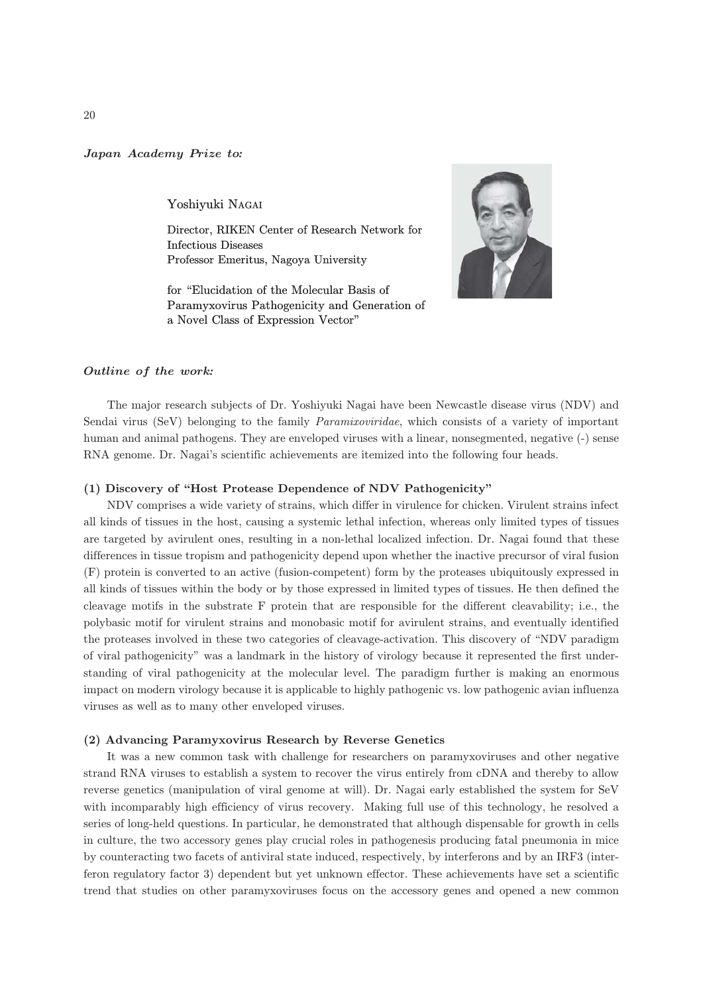Japan Academy Prize to*:*

Yoshiyuki NAGAI

Director, RIKEN Center of Research Network for Infectious Diseases Professor Emeritus, Nagoya University

for "Elucidation of the Molecular Basis of Paramyxovirus Pathogenicity and Generation of a Novel Class of Expression Vector"



### Outline of the work*:*

The major research subjects of Dr. Yoshiyuki Nagai have been Newcastle disease virus (NDV) and Sendai virus (SeV) belonging to the family *Paramixoviridae*, which consists of a variety of important human and animal pathogens. They are enveloped viruses with a linear, nonsegmented, negative (-) sense RNA genome. Dr. Nagai's scientific achievements are itemized into the following four heads.

# (1) Discovery of "Host Protease Dependence of NDV Pathogenicity"

NDV comprises a wide variety of strains, which differ in virulence for chicken. Virulent strains infect all kinds of tissues in the host, causing a systemic lethal infection, whereas only limited types of tissues are targeted by avirulent ones, resulting in a non-lethal localized infection. Dr. Nagai found that these differences in tissue tropism and pathogenicity depend upon whether the inactive precursor of viral fusion (F) protein is converted to an active (fusion-competent) form by the proteases ubiquitously expressed in all kinds of tissues within the body or by those expressed in limited types of tissues. He then defined the cleavage motifs in the substrate F protein that are responsible for the different cleavability; i.e., the polybasic motif for virulent strains and monobasic motif for avirulent strains, and eventually identified the proteases involved in these two categories of cleavage-activation. This discovery of "NDV paradigm of viral pathogenicity" was a landmark in the history of virology because it represented the first understanding of viral pathogenicity at the molecular level. The paradigm further is making an enormous impact on modern virology because it is applicable to highly pathogenic vs. low pathogenic avian influenza viruses as well as to many other enveloped viruses.

### (2) Advancing Paramyxovirus Research by Reverse Genetics

It was a new common task with challenge for researchers on paramyxoviruses and other negative strand RNA viruses to establish a system to recover the virus entirely from cDNA and thereby to allow reverse genetics (manipulation of viral genome at will). Dr. Nagai early established the system for SeV with incomparably high efficiency of virus recovery. Making full use of this technology, he resolved a series of long-held questions. In particular, he demonstrated that although dispensable for growth in cells in culture, the two accessory genes play crucial roles in pathogenesis producing fatal pneumonia in mice by counteracting two facets of antiviral state induced, respectively, by interferons and by an IRF3 (interferon regulatory factor 3) dependent but yet unknown effector. These achievements have set a scientific trend that studies on other paramyxoviruses focus on the accessory genes and opened a new common